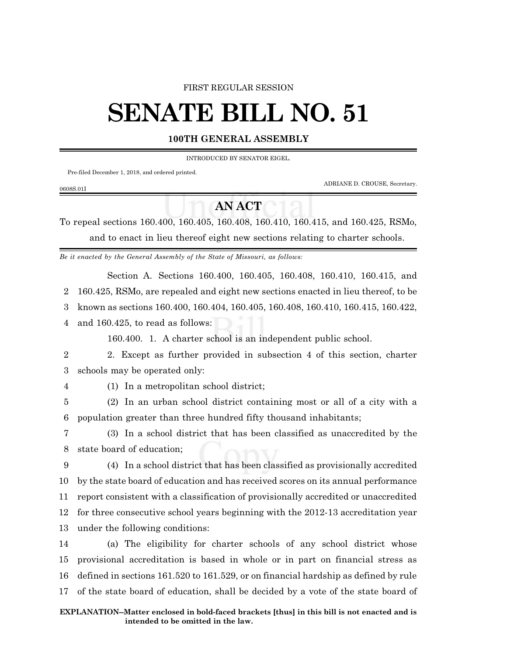#### FIRST REGULAR SESSION

# **SENATE BILL NO. 51**

### **100TH GENERAL ASSEMBLY**

INTRODUCED BY SENATOR EIGEL.

Pre-filed December 1, 2018, and ordered printed.

ADRIANE D. CROUSE, Secretary.

# **AN ACT**

To repeal sections 160.400, 160.405, 160.408, 160.410, 160.415, and 160.425, RSMo, and to enact in lieu thereof eight new sections relating to charter schools.

*Be it enacted by the General Assembly of the State of Missouri, as follows:*

Section A. Sections 160.400, 160.405, 160.408, 160.410, 160.415, and

2 160.425, RSMo, are repealed and eight new sections enacted in lieu thereof, to be

3 known as sections 160.400, 160.404, 160.405, 160.408, 160.410, 160.415, 160.422,

4 and 160.425, to read as follows:

160.400. 1. A charter school is an independent public school.

2 2. Except as further provided in subsection 4 of this section, charter 3 schools may be operated only:

0608S.01I

4 (1) In a metropolitan school district;

5 (2) In an urban school district containing most or all of a city with a 6 population greater than three hundred fifty thousand inhabitants;

7 (3) In a school district that has been classified as unaccredited by the 8 state board of education;

 (4) In a school district that has been classified as provisionally accredited by the state board of education and has received scores on its annual performance report consistent with a classification of provisionally accredited or unaccredited for three consecutive school years beginning with the 2012-13 accreditation year under the following conditions:

 (a) The eligibility for charter schools of any school district whose provisional accreditation is based in whole or in part on financial stress as defined in sections 161.520 to 161.529, or on financial hardship as defined by rule of the state board of education, shall be decided by a vote of the state board of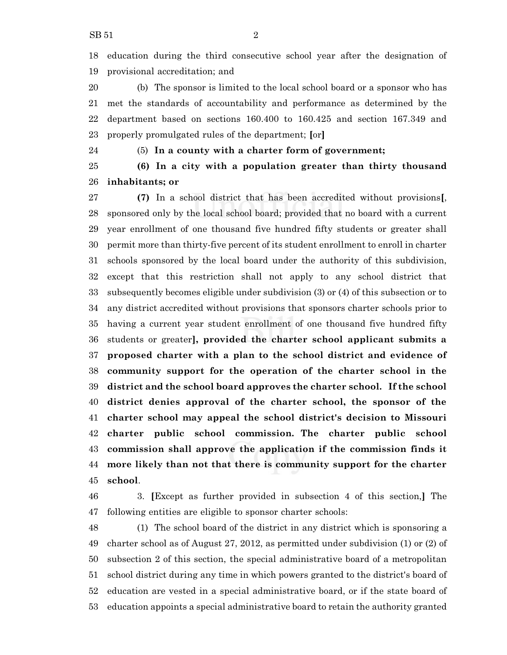education during the third consecutive school year after the designation of provisional accreditation; and

 (b) The sponsor is limited to the local school board or a sponsor who has met the standards of accountability and performance as determined by the department based on sections 160.400 to 160.425 and section 167.349 and properly promulgated rules of the department; **[**or**]**

#### (5) **In a county with a charter form of government;**

 **(6) In a city with a population greater than thirty thousand inhabitants; or**

 **(7)** In a school district that has been accredited without provisions**[**, sponsored only by the local school board; provided that no board with a current year enrollment of one thousand five hundred fifty students or greater shall permit more than thirty-five percent of its student enrollment to enroll in charter schools sponsored by the local board under the authority of this subdivision, except that this restriction shall not apply to any school district that subsequently becomes eligible under subdivision (3) or (4) of this subsection or to any district accredited without provisions that sponsors charter schools prior to having a current year student enrollment of one thousand five hundred fifty students or greater**], provided the charter school applicant submits a proposed charter with a plan to the school district and evidence of community support for the operation of the charter school in the district and the school board approves the charter school. If the school district denies approval of the charter school, the sponsor of the charter school may appeal the school district's decision to Missouri charter public school commission. The charter public school commission shall approve the application if the commission finds it more likely than not that there is community support for the charter school**.

 3. **[**Except as further provided in subsection 4 of this section,**]** The following entities are eligible to sponsor charter schools:

 (1) The school board of the district in any district which is sponsoring a charter school as of August 27, 2012, as permitted under subdivision (1) or (2) of subsection 2 of this section, the special administrative board of a metropolitan school district during any time in which powers granted to the district's board of education are vested in a special administrative board, or if the state board of education appoints a special administrative board to retain the authority granted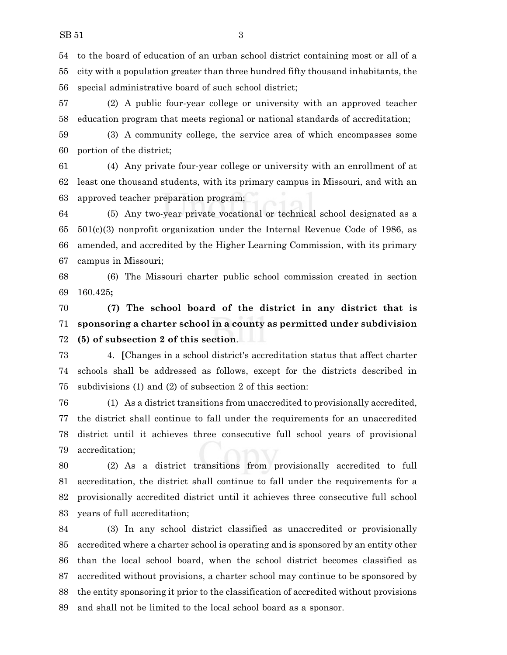to the board of education of an urban school district containing most or all of a city with a population greater than three hundred fifty thousand inhabitants, the special administrative board of such school district;

 (2) A public four-year college or university with an approved teacher education program that meets regional or national standards of accreditation;

 (3) A community college, the service area of which encompasses some portion of the district;

 (4) Any private four-year college or university with an enrollment of at least one thousand students, with its primary campus in Missouri, and with an approved teacher preparation program;

 (5) Any two-year private vocational or technical school designated as a 501(c)(3) nonprofit organization under the Internal Revenue Code of 1986, as amended, and accredited by the Higher Learning Commission, with its primary campus in Missouri;

 (6) The Missouri charter public school commission created in section 160.425**;**

 **(7) The school board of the district in any district that is sponsoring a charter school in a county as permitted under subdivision (5) of subsection 2 of this section**.

 4. **[**Changes in a school district's accreditation status that affect charter schools shall be addressed as follows, except for the districts described in subdivisions (1) and (2) of subsection 2 of this section:

 (1) As a district transitions from unaccredited to provisionally accredited, the district shall continue to fall under the requirements for an unaccredited district until it achieves three consecutive full school years of provisional accreditation;

 (2) As a district transitions from provisionally accredited to full accreditation, the district shall continue to fall under the requirements for a provisionally accredited district until it achieves three consecutive full school years of full accreditation;

 (3) In any school district classified as unaccredited or provisionally accredited where a charter school is operating and is sponsored by an entity other than the local school board, when the school district becomes classified as accredited without provisions, a charter school may continue to be sponsored by the entity sponsoring it prior to the classification of accredited without provisions and shall not be limited to the local school board as a sponsor.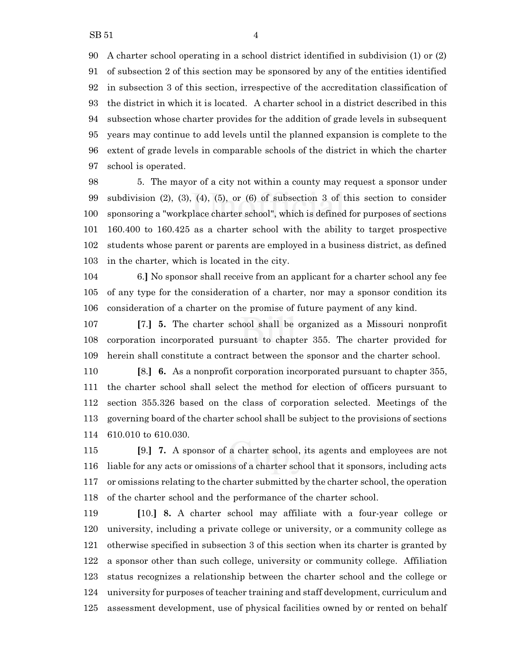A charter school operating in a school district identified in subdivision (1) or (2) of subsection 2 of this section may be sponsored by any of the entities identified in subsection 3 of this section, irrespective of the accreditation classification of the district in which it is located. A charter school in a district described in this subsection whose charter provides for the addition of grade levels in subsequent years may continue to add levels until the planned expansion is complete to the extent of grade levels in comparable schools of the district in which the charter school is operated.

 5. The mayor of a city not within a county may request a sponsor under subdivision (2), (3), (4), (5), or (6) of subsection 3 of this section to consider sponsoring a "workplace charter school", which is defined for purposes of sections 160.400 to 160.425 as a charter school with the ability to target prospective students whose parent or parents are employed in a business district, as defined in the charter, which is located in the city.

 6.**]** No sponsor shall receive from an applicant for a charter school any fee of any type for the consideration of a charter, nor may a sponsor condition its consideration of a charter on the promise of future payment of any kind.

 **[**7.**] 5.** The charter school shall be organized as a Missouri nonprofit corporation incorporated pursuant to chapter 355. The charter provided for herein shall constitute a contract between the sponsor and the charter school.

 **[**8.**] 6.** As a nonprofit corporation incorporated pursuant to chapter 355, the charter school shall select the method for election of officers pursuant to section 355.326 based on the class of corporation selected. Meetings of the governing board of the charter school shall be subject to the provisions of sections 610.010 to 610.030.

 **[**9.**] 7.** A sponsor of a charter school, its agents and employees are not liable for any acts or omissions of a charter school that it sponsors, including acts or omissions relating to the charter submitted by the charter school, the operation of the charter school and the performance of the charter school.

 **[**10.**] 8.** A charter school may affiliate with a four-year college or university, including a private college or university, or a community college as otherwise specified in subsection 3 of this section when its charter is granted by a sponsor other than such college, university or community college. Affiliation status recognizes a relationship between the charter school and the college or university for purposes of teacher training and staff development, curriculum and assessment development, use of physical facilities owned by or rented on behalf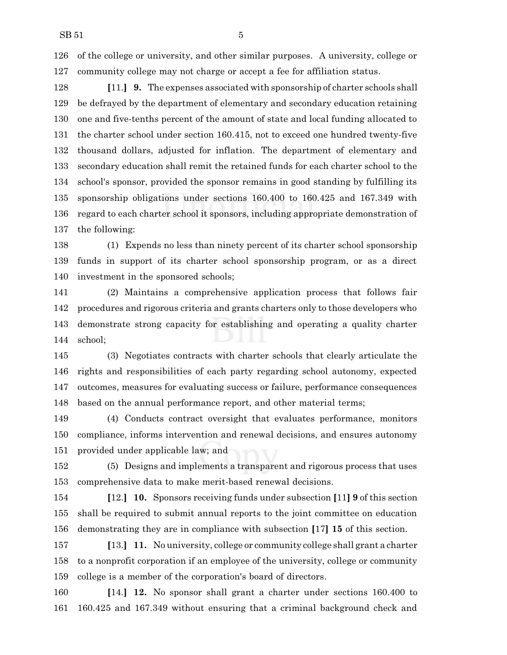of the college or university, and other similar purposes. A university, college or community college may not charge or accept a fee for affiliation status.

 **[**11.**] 9.** The expenses associated with sponsorship of charter schools shall be defrayed by the department of elementary and secondary education retaining one and five-tenths percent of the amount of state and local funding allocated to the charter school under section 160.415, not to exceed one hundred twenty-five thousand dollars, adjusted for inflation. The department of elementary and secondary education shall remit the retained funds for each charter school to the school's sponsor, provided the sponsor remains in good standing by fulfilling its sponsorship obligations under sections 160.400 to 160.425 and 167.349 with regard to each charter school it sponsors, including appropriate demonstration of the following:

 (1) Expends no less than ninety percent of its charter school sponsorship funds in support of its charter school sponsorship program, or as a direct investment in the sponsored schools;

 (2) Maintains a comprehensive application process that follows fair procedures and rigorous criteria and grants charters only to those developers who demonstrate strong capacity for establishing and operating a quality charter school;

 (3) Negotiates contracts with charter schools that clearly articulate the rights and responsibilities of each party regarding school autonomy, expected outcomes, measures for evaluating success or failure, performance consequences based on the annual performance report, and other material terms;

 (4) Conducts contract oversight that evaluates performance, monitors compliance, informs intervention and renewal decisions, and ensures autonomy provided under applicable law; and

 (5) Designs and implements a transparent and rigorous process that uses comprehensive data to make merit-based renewal decisions.

 **[**12.**] 10.** Sponsors receiving funds under subsection **[**11**] 9** of this section shall be required to submit annual reports to the joint committee on education demonstrating they are in compliance with subsection **[**17**] 15** of this section.

 **[**13.**] 11.** No university, college or community college shall grant a charter to a nonprofit corporation if an employee of the university, college or community college is a member of the corporation's board of directors.

 **[**14.**] 12.** No sponsor shall grant a charter under sections 160.400 to 160.425 and 167.349 without ensuring that a criminal background check and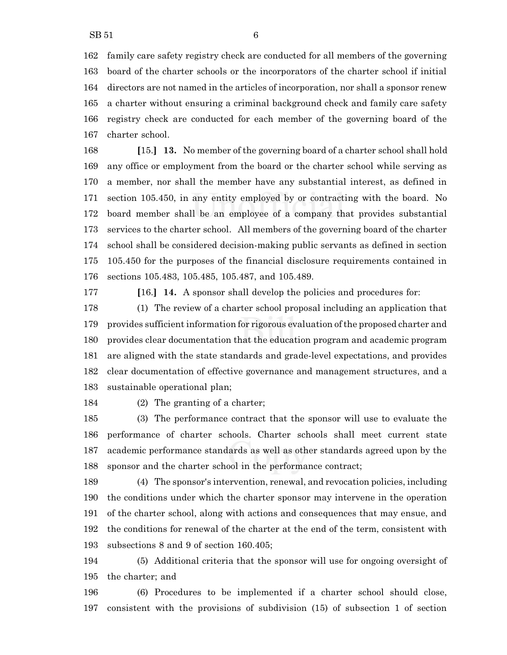family care safety registry check are conducted for all members of the governing board of the charter schools or the incorporators of the charter school if initial directors are not named in the articles of incorporation, nor shall a sponsor renew a charter without ensuring a criminal background check and family care safety registry check are conducted for each member of the governing board of the charter school.

 **[**15.**] 13.** No member of the governing board of a charter school shall hold any office or employment from the board or the charter school while serving as a member, nor shall the member have any substantial interest, as defined in section 105.450, in any entity employed by or contracting with the board. No board member shall be an employee of a company that provides substantial services to the charter school. All members of the governing board of the charter school shall be considered decision-making public servants as defined in section 105.450 for the purposes of the financial disclosure requirements contained in sections 105.483, 105.485, 105.487, and 105.489.

**[**16.**] 14.** A sponsor shall develop the policies and procedures for:

 (1) The review of a charter school proposal including an application that provides sufficient information for rigorous evaluation ofthe proposed charter and provides clear documentation that the education program and academic program are aligned with the state standards and grade-level expectations, and provides clear documentation of effective governance and management structures, and a sustainable operational plan;

(2) The granting of a charter;

 (3) The performance contract that the sponsor will use to evaluate the performance of charter schools. Charter schools shall meet current state academic performance standards as well as other standards agreed upon by the sponsor and the charter school in the performance contract;

 (4) The sponsor's intervention, renewal, and revocation policies, including the conditions under which the charter sponsor may intervene in the operation of the charter school, along with actions and consequences that may ensue, and the conditions for renewal of the charter at the end of the term, consistent with subsections 8 and 9 of section 160.405;

 (5) Additional criteria that the sponsor will use for ongoing oversight of the charter; and

 (6) Procedures to be implemented if a charter school should close, consistent with the provisions of subdivision (15) of subsection 1 of section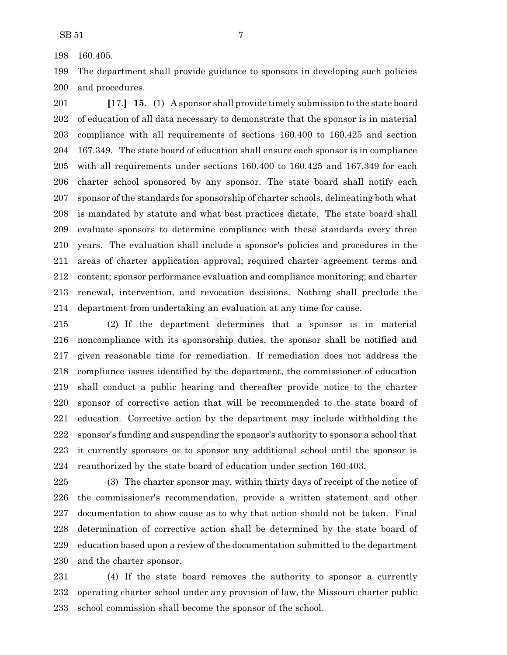160.405.

 The department shall provide guidance to sponsors in developing such policies and procedures.

 **[**17.**] 15.** (1) A sponsor shall provide timely submission to the state board of education of all data necessary to demonstrate that the sponsor is in material compliance with all requirements of sections 160.400 to 160.425 and section 167.349. The state board of education shall ensure each sponsor is in compliance with all requirements under sections 160.400 to 160.425 and 167.349 for each charter school sponsored by any sponsor. The state board shall notify each sponsor of the standards for sponsorship of charter schools, delineating both what is mandated by statute and what best practices dictate. The state board shall evaluate sponsors to determine compliance with these standards every three years. The evaluation shall include a sponsor's policies and procedures in the areas of charter application approval; required charter agreement terms and content; sponsor performance evaluation and compliance monitoring; and charter renewal, intervention, and revocation decisions. Nothing shall preclude the department from undertaking an evaluation at any time for cause.

 (2) If the department determines that a sponsor is in material noncompliance with its sponsorship duties, the sponsor shall be notified and given reasonable time for remediation. If remediation does not address the compliance issues identified by the department, the commissioner of education shall conduct a public hearing and thereafter provide notice to the charter sponsor of corrective action that will be recommended to the state board of education. Corrective action by the department may include withholding the sponsor's funding and suspending the sponsor's authority to sponsor a school that it currently sponsors or to sponsor any additional school until the sponsor is reauthorized by the state board of education under section 160.403.

 (3) The charter sponsor may, within thirty days of receipt of the notice of the commissioner's recommendation, provide a written statement and other documentation to show cause as to why that action should not be taken. Final determination of corrective action shall be determined by the state board of education based upon a review of the documentation submitted to the department and the charter sponsor.

 (4) If the state board removes the authority to sponsor a currently operating charter school under any provision of law, the Missouri charter public school commission shall become the sponsor of the school.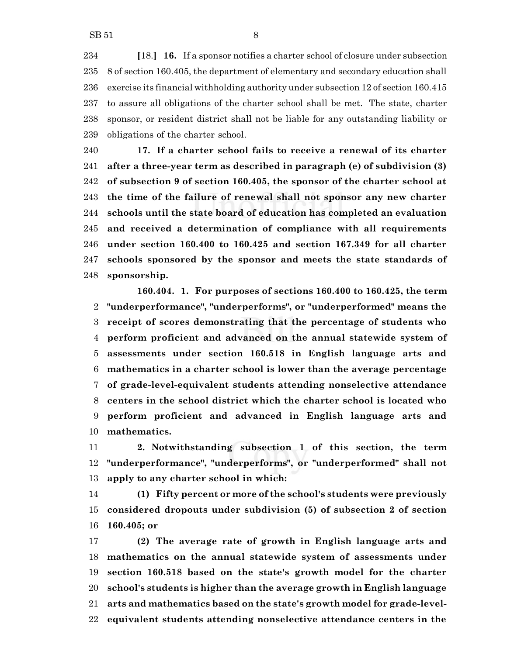**[**18.**] 16.** If a sponsor notifies a charter school of closure under subsection 8 of section 160.405, the department of elementary and secondary education shall exercise its financial withholding authority under subsection 12 of section 160.415 to assure all obligations of the charter school shall be met. The state, charter sponsor, or resident district shall not be liable for any outstanding liability or obligations of the charter school.

 **17. If a charter school fails to receive a renewal of its charter after a three-year term as described in paragraph (e) of subdivision (3) of subsection 9 of section 160.405, the sponsor of the charter school at the time of the failure of renewal shall not sponsor any new charter schools until the state board of education has completed an evaluation and received a determination of compliance with all requirements under section 160.400 to 160.425 and section 167.349 for all charter schools sponsored by the sponsor and meets the state standards of sponsorship.**

**160.404. 1. For purposes of sections 160.400 to 160.425, the term "underperformance", "underperforms", or "underperformed" means the receipt of scores demonstrating that the percentage of students who perform proficient and advanced on the annual statewide system of assessments under section 160.518 in English language arts and mathematics in a charter school is lower than the average percentage of grade-level-equivalent students attending nonselective attendance centers in the school district which the charter school is located who perform proficient and advanced in English language arts and mathematics.**

 **2. Notwithstanding subsection 1 of this section, the term "underperformance", "underperforms", or "underperformed" shall not apply to any charter school in which:**

 **(1) Fifty percent or more of the school's students were previously considered dropouts under subdivision (5) of subsection 2 of section 160.405; or**

 **(2) The average rate of growth in English language arts and mathematics on the annual statewide system of assessments under section 160.518 based on the state's growth model for the charter school's students is higher than the average growth in English language arts and mathematics based on the state's growth model for grade-level-equivalent students attending nonselective attendance centers in the**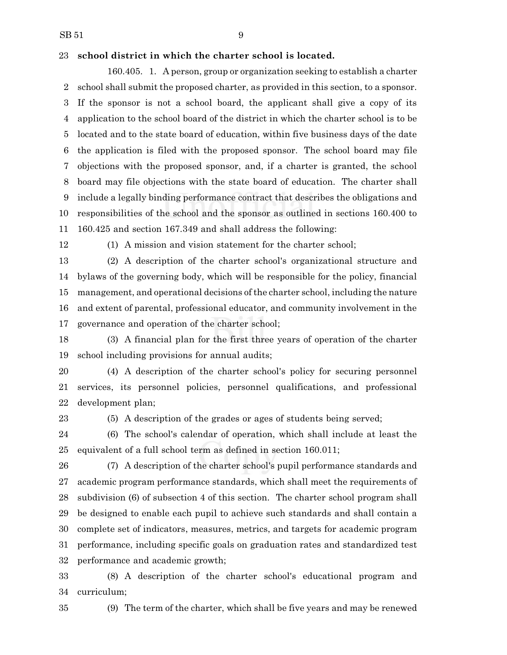#### **school district in which the charter school is located.**

160.405. 1. A person, group or organization seeking to establish a charter school shall submit the proposed charter, as provided in this section, to a sponsor. If the sponsor is not a school board, the applicant shall give a copy of its application to the school board of the district in which the charter school is to be located and to the state board of education, within five business days of the date the application is filed with the proposed sponsor. The school board may file objections with the proposed sponsor, and, if a charter is granted, the school board may file objections with the state board of education. The charter shall include a legally binding performance contract that describes the obligations and responsibilities of the school and the sponsor as outlined in sections 160.400 to 160.425 and section 167.349 and shall address the following:

(1) A mission and vision statement for the charter school;

 (2) A description of the charter school's organizational structure and bylaws of the governing body, which will be responsible for the policy, financial management, and operational decisions ofthe charter school, including the nature and extent of parental, professional educator, and community involvement in the governance and operation of the charter school;

 (3) A financial plan for the first three years of operation of the charter school including provisions for annual audits;

 (4) A description of the charter school's policy for securing personnel services, its personnel policies, personnel qualifications, and professional development plan;

(5) A description of the grades or ages of students being served;

 (6) The school's calendar of operation, which shall include at least the equivalent of a full school term as defined in section 160.011;

 (7) A description of the charter school's pupil performance standards and academic program performance standards, which shall meet the requirements of subdivision (6) of subsection 4 of this section. The charter school program shall be designed to enable each pupil to achieve such standards and shall contain a complete set of indicators, measures, metrics, and targets for academic program performance, including specific goals on graduation rates and standardized test performance and academic growth;

 (8) A description of the charter school's educational program and curriculum;

(9) The term of the charter, which shall be five years and may be renewed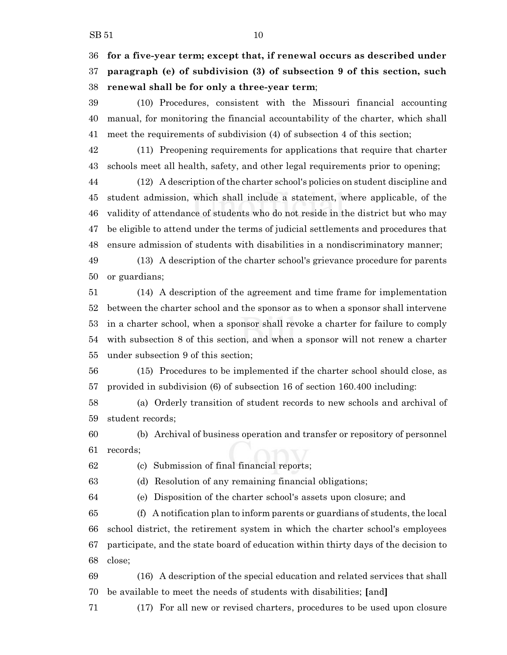**for a five-year term; except that, if renewal occurs as described under paragraph (e) of subdivision (3) of subsection 9 of this section, such renewal shall be for only a three-year term**;

 (10) Procedures, consistent with the Missouri financial accounting manual, for monitoring the financial accountability of the charter, which shall meet the requirements of subdivision (4) of subsection 4 of this section;

 (11) Preopening requirements for applications that require that charter schools meet all health, safety, and other legal requirements prior to opening;

 (12) A description of the charter school's policies on student discipline and student admission, which shall include a statement, where applicable, of the validity of attendance of students who do not reside in the district but who may be eligible to attend under the terms of judicial settlements and procedures that ensure admission of students with disabilities in a nondiscriminatory manner;

 (13) A description of the charter school's grievance procedure for parents or guardians;

 (14) A description of the agreement and time frame for implementation between the charter school and the sponsor as to when a sponsor shall intervene in a charter school, when a sponsor shall revoke a charter for failure to comply with subsection 8 of this section, and when a sponsor will not renew a charter under subsection 9 of this section;

 (15) Procedures to be implemented if the charter school should close, as provided in subdivision (6) of subsection 16 of section 160.400 including:

 (a) Orderly transition of student records to new schools and archival of student records;

 (b) Archival of business operation and transfer or repository of personnel records;

(c) Submission of final financial reports;

(d) Resolution of any remaining financial obligations;

(e) Disposition of the charter school's assets upon closure; and

 (f) A notification plan to inform parents or guardians of students, the local school district, the retirement system in which the charter school's employees participate, and the state board of education within thirty days of the decision to close;

 (16) A description of the special education and related services that shall be available to meet the needs of students with disabilities; **[**and**]**

(17) For all new or revised charters, procedures to be used upon closure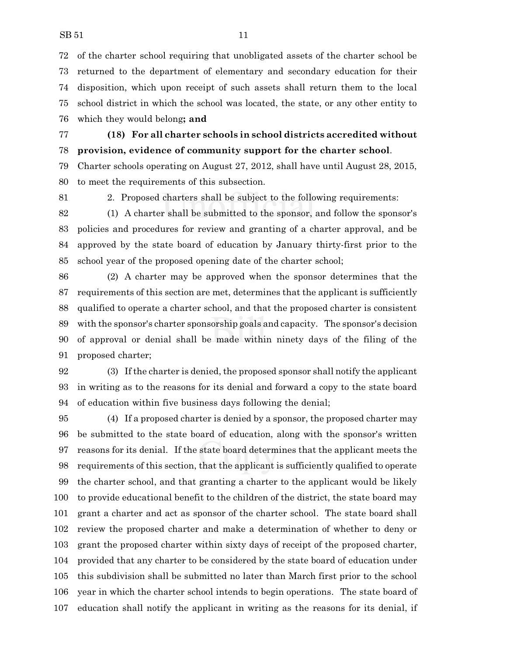of the charter school requiring that unobligated assets of the charter school be returned to the department of elementary and secondary education for their disposition, which upon receipt of such assets shall return them to the local school district in which the school was located, the state, or any other entity to which they would belong**; and**

## **(18) For all charter schools in school districts accredited without provision, evidence of community support for the charter school**.

 Charter schools operating on August 27, 2012, shall have until August 28, 2015, to meet the requirements of this subsection.

2. Proposed charters shall be subject to the following requirements:

 (1) A charter shall be submitted to the sponsor, and follow the sponsor's policies and procedures for review and granting of a charter approval, and be approved by the state board of education by January thirty-first prior to the school year of the proposed opening date of the charter school;

 (2) A charter may be approved when the sponsor determines that the requirements of this section are met, determines that the applicant is sufficiently qualified to operate a charter school, and that the proposed charter is consistent with the sponsor's charter sponsorship goals and capacity. The sponsor's decision of approval or denial shall be made within ninety days of the filing of the proposed charter;

 (3) If the charter is denied, the proposed sponsor shall notify the applicant in writing as to the reasons for its denial and forward a copy to the state board of education within five business days following the denial;

 (4) If a proposed charter is denied by a sponsor, the proposed charter may be submitted to the state board of education, along with the sponsor's written reasons for its denial. If the state board determines that the applicant meets the requirements of this section, that the applicant is sufficiently qualified to operate the charter school, and that granting a charter to the applicant would be likely to provide educational benefit to the children of the district, the state board may grant a charter and act as sponsor of the charter school. The state board shall review the proposed charter and make a determination of whether to deny or grant the proposed charter within sixty days of receipt of the proposed charter, provided that any charter to be considered by the state board of education under this subdivision shall be submitted no later than March first prior to the school year in which the charter school intends to begin operations. The state board of education shall notify the applicant in writing as the reasons for its denial, if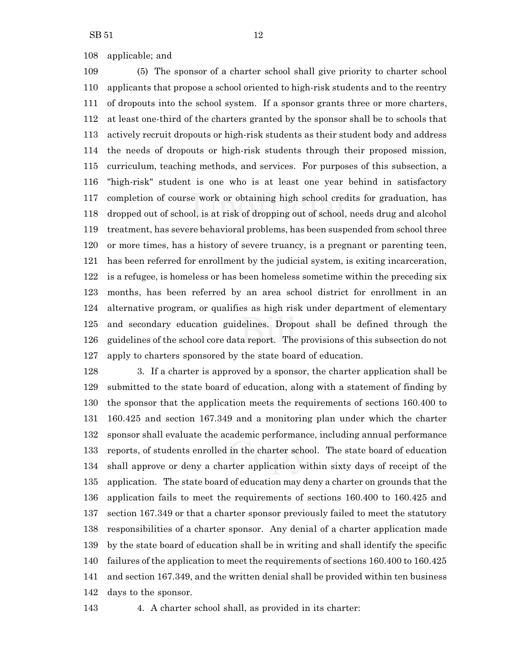applicable; and

 (5) The sponsor of a charter school shall give priority to charter school applicants that propose a school oriented to high-risk students and to the reentry of dropouts into the school system. If a sponsor grants three or more charters, at least one-third of the charters granted by the sponsor shall be to schools that actively recruit dropouts or high-risk students as their student body and address the needs of dropouts or high-risk students through their proposed mission, curriculum, teaching methods, and services. For purposes of this subsection, a "high-risk" student is one who is at least one year behind in satisfactory completion of course work or obtaining high school credits for graduation, has dropped out of school, is at risk of dropping out of school, needs drug and alcohol treatment, has severe behavioral problems, has been suspended from school three or more times, has a history of severe truancy, is a pregnant or parenting teen, has been referred for enrollment by the judicial system, is exiting incarceration, is a refugee, is homeless or has been homeless sometime within the preceding six months, has been referred by an area school district for enrollment in an alternative program, or qualifies as high risk under department of elementary and secondary education guidelines. Dropout shall be defined through the guidelines of the school core data report. The provisions of this subsection do not apply to charters sponsored by the state board of education.

 3. If a charter is approved by a sponsor, the charter application shall be submitted to the state board of education, along with a statement of finding by the sponsor that the application meets the requirements of sections 160.400 to 160.425 and section 167.349 and a monitoring plan under which the charter sponsor shall evaluate the academic performance, including annual performance reports, of students enrolled in the charter school. The state board of education shall approve or deny a charter application within sixty days of receipt of the application. The state board of education may deny a charter on grounds that the application fails to meet the requirements of sections 160.400 to 160.425 and section 167.349 or that a charter sponsor previously failed to meet the statutory responsibilities of a charter sponsor. Any denial of a charter application made by the state board of education shall be in writing and shall identify the specific failures of the application to meet the requirements of sections 160.400 to 160.425 and section 167.349, and the written denial shall be provided within ten business days to the sponsor.

4. A charter school shall, as provided in its charter: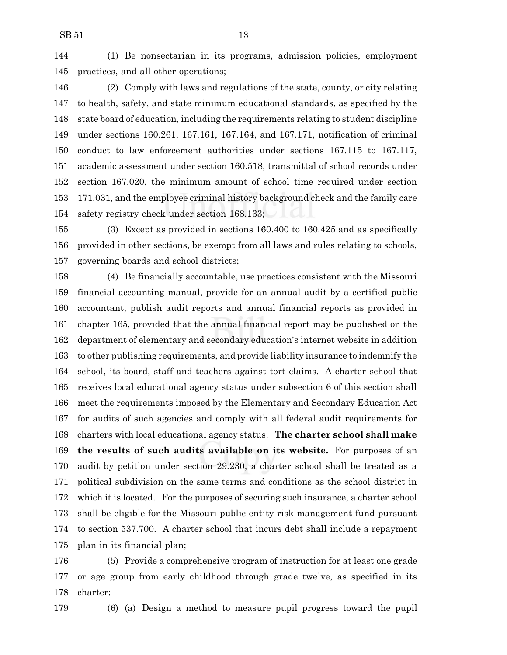(1) Be nonsectarian in its programs, admission policies, employment practices, and all other operations;

 (2) Comply with laws and regulations of the state, county, or city relating to health, safety, and state minimum educational standards, as specified by the state board of education, including the requirements relating to student discipline under sections 160.261, 167.161, 167.164, and 167.171, notification of criminal conduct to law enforcement authorities under sections 167.115 to 167.117, academic assessment under section 160.518, transmittal of school records under section 167.020, the minimum amount of school time required under section 171.031, and the employee criminal history background check and the family care safety registry check under section 168.133;

 (3) Except as provided in sections 160.400 to 160.425 and as specifically provided in other sections, be exempt from all laws and rules relating to schools, governing boards and school districts;

 (4) Be financially accountable, use practices consistent with the Missouri financial accounting manual, provide for an annual audit by a certified public accountant, publish audit reports and annual financial reports as provided in chapter 165, provided that the annual financial report may be published on the department of elementary and secondary education's internet website in addition to other publishing requirements, and provide liability insurance to indemnify the school, its board, staff and teachers against tort claims. A charter school that receives local educational agency status under subsection 6 of this section shall meet the requirements imposed by the Elementary and Secondary Education Act for audits of such agencies and comply with all federal audit requirements for charters with local educational agency status. **The charter school shall make the results of such audits available on its website.** For purposes of an audit by petition under section 29.230, a charter school shall be treated as a political subdivision on the same terms and conditions as the school district in which it is located. For the purposes of securing such insurance, a charter school shall be eligible for the Missouri public entity risk management fund pursuant to section 537.700. A charter school that incurs debt shall include a repayment plan in its financial plan;

 (5) Provide a comprehensive program of instruction for at least one grade or age group from early childhood through grade twelve, as specified in its charter;



(6) (a) Design a method to measure pupil progress toward the pupil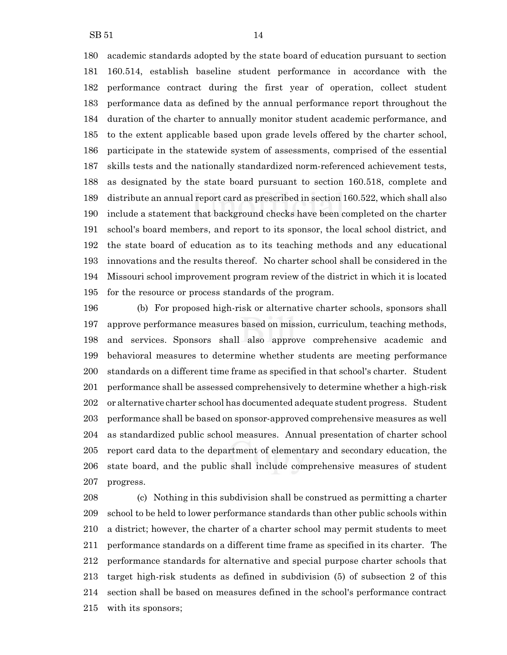$SB 51$  14

 academic standards adopted by the state board of education pursuant to section 160.514, establish baseline student performance in accordance with the performance contract during the first year of operation, collect student performance data as defined by the annual performance report throughout the duration of the charter to annually monitor student academic performance, and to the extent applicable based upon grade levels offered by the charter school, participate in the statewide system of assessments, comprised of the essential skills tests and the nationally standardized norm-referenced achievement tests, as designated by the state board pursuant to section 160.518, complete and distribute an annual report card as prescribed in section 160.522, which shall also include a statement that background checks have been completed on the charter school's board members, and report to its sponsor, the local school district, and the state board of education as to its teaching methods and any educational innovations and the results thereof. No charter school shall be considered in the Missouri school improvement program review of the district in which it is located for the resource or process standards of the program.

 (b) For proposed high-risk or alternative charter schools, sponsors shall approve performance measures based on mission, curriculum, teaching methods, and services. Sponsors shall also approve comprehensive academic and behavioral measures to determine whether students are meeting performance standards on a different time frame as specified in that school's charter. Student performance shall be assessed comprehensively to determine whether a high-risk or alternative charter school has documented adequate student progress. Student performance shall be based on sponsor-approved comprehensive measures as well as standardized public school measures. Annual presentation of charter school report card data to the department of elementary and secondary education, the state board, and the public shall include comprehensive measures of student progress.

 (c) Nothing in this subdivision shall be construed as permitting a charter school to be held to lower performance standards than other public schools within a district; however, the charter of a charter school may permit students to meet performance standards on a different time frame as specified in its charter. The performance standards for alternative and special purpose charter schools that target high-risk students as defined in subdivision (5) of subsection 2 of this section shall be based on measures defined in the school's performance contract with its sponsors;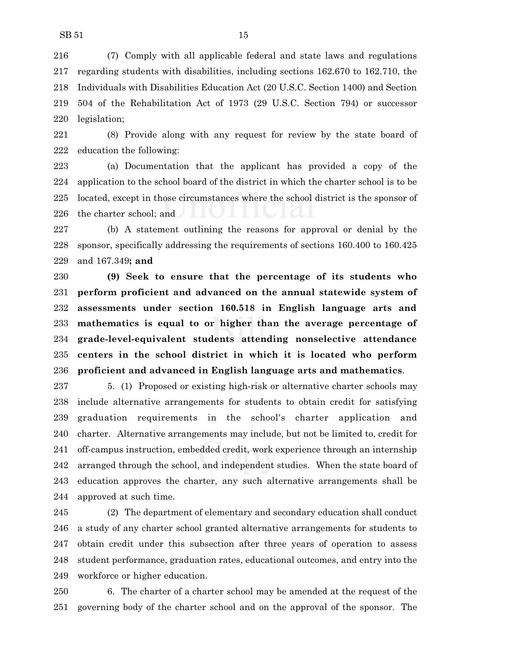(7) Comply with all applicable federal and state laws and regulations regarding students with disabilities, including sections 162.670 to 162.710, the Individuals with Disabilities Education Act (20 U.S.C. Section 1400) and Section 504 of the Rehabilitation Act of 1973 (29 U.S.C. Section 794) or successor legislation;

 (8) Provide along with any request for review by the state board of education the following:

 (a) Documentation that the applicant has provided a copy of the application to the school board of the district in which the charter school is to be located, except in those circumstances where the school district is the sponsor of the charter school; and

 (b) A statement outlining the reasons for approval or denial by the sponsor, specifically addressing the requirements of sections 160.400 to 160.425 and 167.349**; and**

 **(9) Seek to ensure that the percentage of its students who perform proficient and advanced on the annual statewide system of assessments under section 160.518 in English language arts and mathematics is equal to or higher than the average percentage of grade-level-equivalent students attending nonselective attendance centers in the school district in which it is located who perform proficient and advanced in English language arts and mathematics**.

 5. (1) Proposed or existing high-risk or alternative charter schools may include alternative arrangements for students to obtain credit for satisfying graduation requirements in the school's charter application and charter. Alternative arrangements may include, but not be limited to, credit for off-campus instruction, embedded credit, work experience through an internship arranged through the school, and independent studies. When the state board of education approves the charter, any such alternative arrangements shall be approved at such time.

 (2) The department of elementary and secondary education shall conduct a study of any charter school granted alternative arrangements for students to obtain credit under this subsection after three years of operation to assess student performance, graduation rates, educational outcomes, and entry into the workforce or higher education.

 6. The charter of a charter school may be amended at the request of the governing body of the charter school and on the approval of the sponsor. The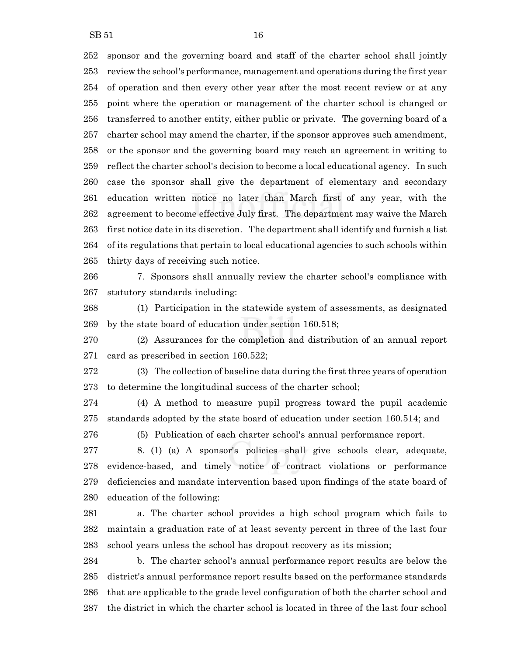sponsor and the governing board and staff of the charter school shall jointly review the school's performance, management and operations during the first year of operation and then every other year after the most recent review or at any point where the operation or management of the charter school is changed or transferred to another entity, either public or private. The governing board of a charter school may amend the charter, if the sponsor approves such amendment, or the sponsor and the governing board may reach an agreement in writing to reflect the charter school's decision to become a local educational agency. In such case the sponsor shall give the department of elementary and secondary education written notice no later than March first of any year, with the agreement to become effective July first. The department may waive the March first notice date in its discretion. The department shall identify and furnish a list of its regulations that pertain to local educational agencies to such schools within thirty days of receiving such notice.

 7. Sponsors shall annually review the charter school's compliance with statutory standards including:

 (1) Participation in the statewide system of assessments, as designated by the state board of education under section 160.518;

 (2) Assurances for the completion and distribution of an annual report card as prescribed in section 160.522;

 (3) The collection of baseline data during the first three years of operation to determine the longitudinal success of the charter school;

 (4) A method to measure pupil progress toward the pupil academic standards adopted by the state board of education under section 160.514; and

(5) Publication of each charter school's annual performance report.

 8. (1) (a) A sponsor's policies shall give schools clear, adequate, evidence-based, and timely notice of contract violations or performance deficiencies and mandate intervention based upon findings of the state board of education of the following:

 a. The charter school provides a high school program which fails to maintain a graduation rate of at least seventy percent in three of the last four school years unless the school has dropout recovery as its mission;

 b. The charter school's annual performance report results are below the district's annual performance report results based on the performance standards that are applicable to the grade level configuration of both the charter school and the district in which the charter school is located in three of the last four school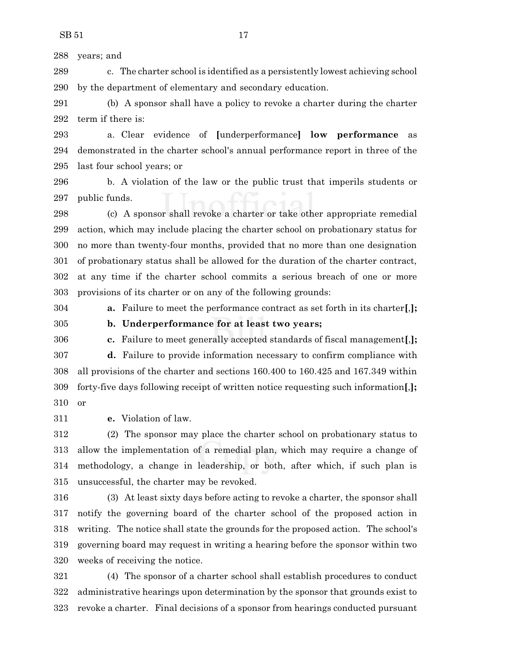years; and

 c. The charter school is identified as a persistently lowest achieving school by the department of elementary and secondary education.

 (b) A sponsor shall have a policy to revoke a charter during the charter term if there is:

 a. Clear evidence of **[**underperformance**] low performance** as demonstrated in the charter school's annual performance report in three of the last four school years; or

 b. A violation of the law or the public trust that imperils students or public funds.

 (c) A sponsor shall revoke a charter or take other appropriate remedial action, which may include placing the charter school on probationary status for no more than twenty-four months, provided that no more than one designation of probationary status shall be allowed for the duration of the charter contract, at any time if the charter school commits a serious breach of one or more provisions of its charter or on any of the following grounds:

**a.** Failure to meet the performance contract as set forth in its charter**[**,**];**

**b. Underperformance for at least two years;**

 **c.** Failure to meet generally accepted standards of fiscal management**[**,**]; d.** Failure to provide information necessary to confirm compliance with all provisions of the charter and sections 160.400 to 160.425 and 167.349 within forty-five days following receipt of written notice requesting such information**[**,**];** or

**e.** Violation of law.

 (2) The sponsor may place the charter school on probationary status to allow the implementation of a remedial plan, which may require a change of methodology, a change in leadership, or both, after which, if such plan is unsuccessful, the charter may be revoked.

 (3) At least sixty days before acting to revoke a charter, the sponsor shall notify the governing board of the charter school of the proposed action in writing. The notice shall state the grounds for the proposed action. The school's governing board may request in writing a hearing before the sponsor within two weeks of receiving the notice.

 (4) The sponsor of a charter school shall establish procedures to conduct administrative hearings upon determination by the sponsor that grounds exist to revoke a charter. Final decisions of a sponsor from hearings conducted pursuant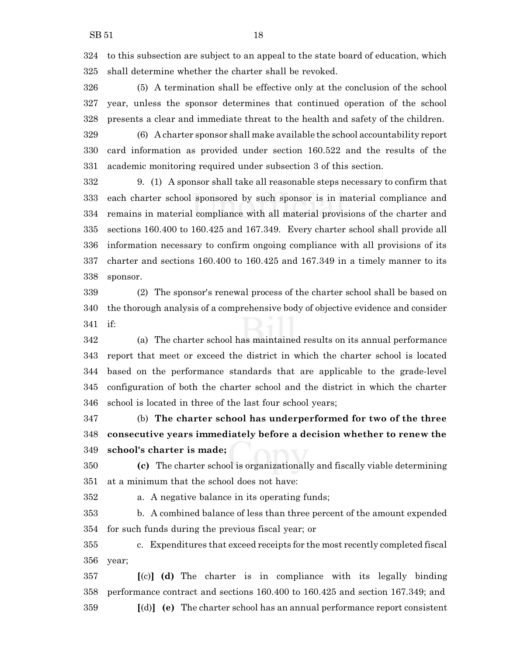to this subsection are subject to an appeal to the state board of education, which shall determine whether the charter shall be revoked.

 (5) A termination shall be effective only at the conclusion of the school year, unless the sponsor determines that continued operation of the school presents a clear and immediate threat to the health and safety of the children.

 (6) A charter sponsor shall make available the school accountability report card information as provided under section 160.522 and the results of the academic monitoring required under subsection 3 of this section.

 9. (1) A sponsor shall take all reasonable steps necessary to confirm that each charter school sponsored by such sponsor is in material compliance and remains in material compliance with all material provisions of the charter and sections 160.400 to 160.425 and 167.349. Every charter school shall provide all information necessary to confirm ongoing compliance with all provisions of its charter and sections 160.400 to 160.425 and 167.349 in a timely manner to its sponsor.

 (2) The sponsor's renewal process of the charter school shall be based on the thorough analysis of a comprehensive body of objective evidence and consider if:

 (a) The charter school has maintained results on its annual performance report that meet or exceed the district in which the charter school is located based on the performance standards that are applicable to the grade-level configuration of both the charter school and the district in which the charter school is located in three of the last four school years;

 (b) **The charter school has underperformed for two of the three consecutive years immediately before a decision whether to renew the school's charter is made;**

 **(c)** The charter school is organizationally and fiscally viable determining at a minimum that the school does not have:

a. A negative balance in its operating funds;

 b. A combined balance of less than three percent of the amount expended for such funds during the previous fiscal year; or

 c. Expenditures that exceed receipts for the most recently completed fiscal year;

 **[**(c)**] (d)** The charter is in compliance with its legally binding performance contract and sections 160.400 to 160.425 and section 167.349; and **[**(d)**] (e)** The charter school has an annual performance report consistent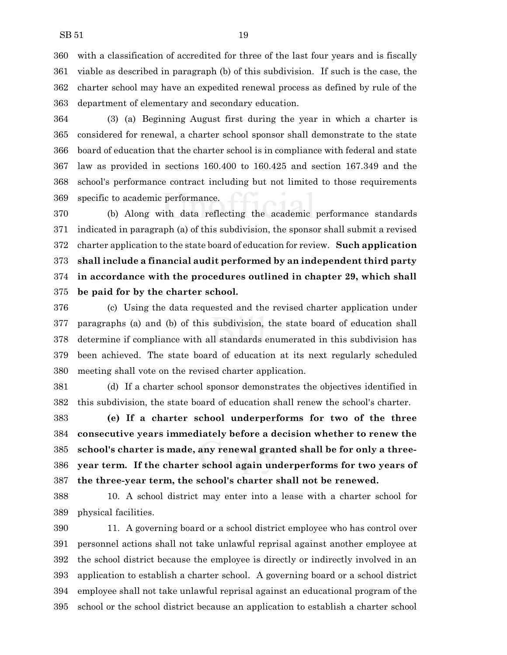with a classification of accredited for three of the last four years and is fiscally viable as described in paragraph (b) of this subdivision. If such is the case, the charter school may have an expedited renewal process as defined by rule of the department of elementary and secondary education.

 (3) (a) Beginning August first during the year in which a charter is considered for renewal, a charter school sponsor shall demonstrate to the state board of education that the charter school is in compliance with federal and state law as provided in sections 160.400 to 160.425 and section 167.349 and the school's performance contract including but not limited to those requirements specific to academic performance.

 (b) Along with data reflecting the academic performance standards indicated in paragraph (a) of this subdivision, the sponsor shall submit a revised charter application to the state board of education for review. **Such application shall include a financial audit performed by an independent third party in accordance with the procedures outlined in chapter 29, which shall be paid for by the charter school.**

 (c) Using the data requested and the revised charter application under paragraphs (a) and (b) of this subdivision, the state board of education shall determine if compliance with all standards enumerated in this subdivision has been achieved. The state board of education at its next regularly scheduled meeting shall vote on the revised charter application.

 (d) If a charter school sponsor demonstrates the objectives identified in this subdivision, the state board of education shall renew the school's charter.

 **(e) If a charter school underperforms for two of the three consecutive years immediately before a decision whether to renew the school's charter is made, any renewal granted shall be for only a three- year term. If the charter school again underperforms for two years of the three-year term, the school's charter shall not be renewed.**

 10. A school district may enter into a lease with a charter school for physical facilities.

 11. A governing board or a school district employee who has control over personnel actions shall not take unlawful reprisal against another employee at the school district because the employee is directly or indirectly involved in an application to establish a charter school. A governing board or a school district employee shall not take unlawful reprisal against an educational program of the school or the school district because an application to establish a charter school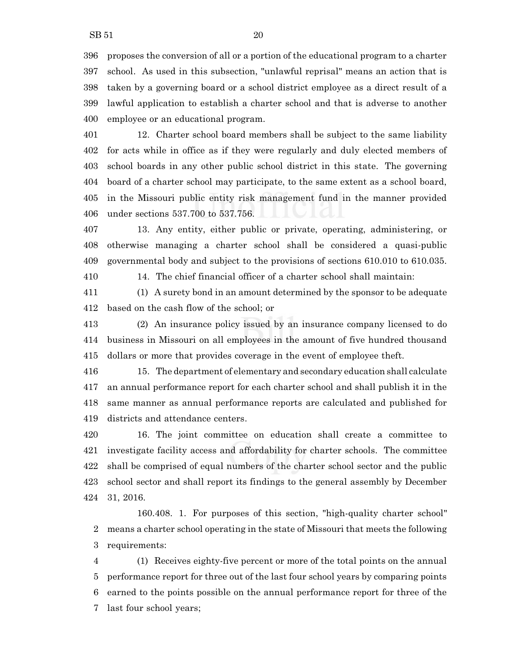proposes the conversion of all or a portion of the educational program to a charter school. As used in this subsection, "unlawful reprisal" means an action that is taken by a governing board or a school district employee as a direct result of a lawful application to establish a charter school and that is adverse to another employee or an educational program.

 12. Charter school board members shall be subject to the same liability for acts while in office as if they were regularly and duly elected members of school boards in any other public school district in this state. The governing board of a charter school may participate, to the same extent as a school board, in the Missouri public entity risk management fund in the manner provided under sections 537.700 to 537.756.

 13. Any entity, either public or private, operating, administering, or otherwise managing a charter school shall be considered a quasi-public governmental body and subject to the provisions of sections 610.010 to 610.035.

14. The chief financial officer of a charter school shall maintain:

 (1) A surety bond in an amount determined by the sponsor to be adequate based on the cash flow of the school; or

 (2) An insurance policy issued by an insurance company licensed to do business in Missouri on all employees in the amount of five hundred thousand dollars or more that provides coverage in the event of employee theft.

 15. The department of elementary and secondary education shall calculate an annual performance report for each charter school and shall publish it in the same manner as annual performance reports are calculated and published for districts and attendance centers.

 16. The joint committee on education shall create a committee to investigate facility access and affordability for charter schools. The committee shall be comprised of equal numbers of the charter school sector and the public school sector and shall report its findings to the general assembly by December 31, 2016.

160.408. 1. For purposes of this section, "high-quality charter school" means a charter school operating in the state of Missouri that meets the following requirements:

 (1) Receives eighty-five percent or more of the total points on the annual performance report for three out of the last four school years by comparing points earned to the points possible on the annual performance report for three of the last four school years;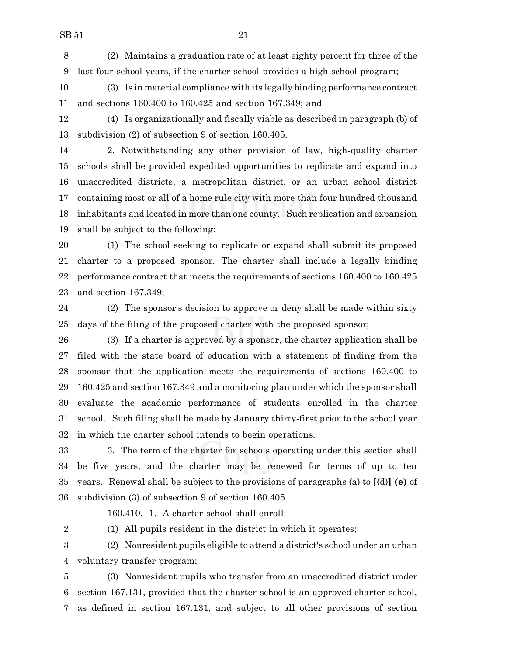(2) Maintains a graduation rate of at least eighty percent for three of the last four school years, if the charter school provides a high school program;

 (3) Is in material compliance with its legally binding performance contract and sections 160.400 to 160.425 and section 167.349; and

 (4) Is organizationally and fiscally viable as described in paragraph (b) of subdivision (2) of subsection 9 of section 160.405.

 2. Notwithstanding any other provision of law, high-quality charter schools shall be provided expedited opportunities to replicate and expand into unaccredited districts, a metropolitan district, or an urban school district containing most or all of a home rule city with more than four hundred thousand inhabitants and located in more than one county. Such replication and expansion shall be subject to the following:

 (1) The school seeking to replicate or expand shall submit its proposed charter to a proposed sponsor. The charter shall include a legally binding performance contract that meets the requirements of sections 160.400 to 160.425 and section 167.349;

 (2) The sponsor's decision to approve or deny shall be made within sixty days of the filing of the proposed charter with the proposed sponsor;

 (3) If a charter is approved by a sponsor, the charter application shall be filed with the state board of education with a statement of finding from the sponsor that the application meets the requirements of sections 160.400 to 160.425 and section 167.349 and a monitoring plan under which the sponsor shall evaluate the academic performance of students enrolled in the charter school. Such filing shall be made by January thirty-first prior to the school year in which the charter school intends to begin operations.

 3. The term of the charter for schools operating under this section shall be five years, and the charter may be renewed for terms of up to ten years. Renewal shall be subject to the provisions of paragraphs (a) to **[**(d)**] (e)** of subdivision (3) of subsection 9 of section 160.405.

160.410. 1. A charter school shall enroll:

(1) All pupils resident in the district in which it operates;

 (2) Nonresident pupils eligible to attend a district's school under an urban voluntary transfer program;

 (3) Nonresident pupils who transfer from an unaccredited district under section 167.131, provided that the charter school is an approved charter school, as defined in section 167.131, and subject to all other provisions of section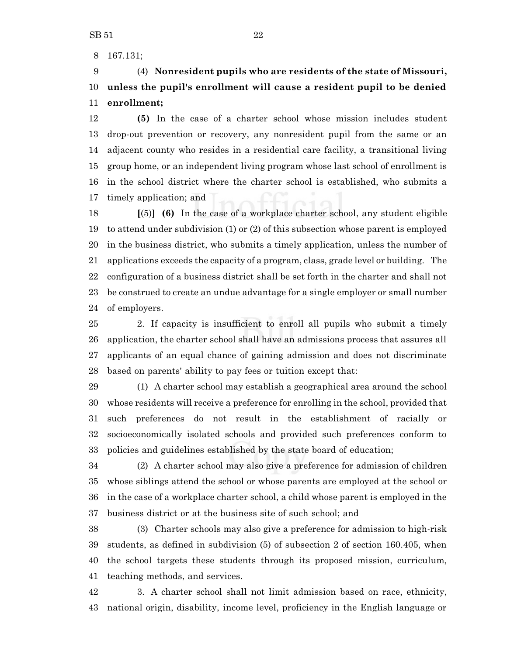167.131;

# (4) **Nonresident pupils who are residents of the state of Missouri, unless the pupil's enrollment will cause a resident pupil to be denied enrollment;**

 **(5)** In the case of a charter school whose mission includes student drop-out prevention or recovery, any nonresident pupil from the same or an adjacent county who resides in a residential care facility, a transitional living group home, or an independent living program whose last school of enrollment is in the school district where the charter school is established, who submits a timely application; and

 **[**(5)**] (6)** In the case of a workplace charter school, any student eligible to attend under subdivision (1) or (2) of this subsection whose parent is employed in the business district, who submits a timely application, unless the number of applications exceeds the capacity of a program, class, grade level or building. The configuration of a business district shall be set forth in the charter and shall not be construed to create an undue advantage for a single employer or small number of employers.

 2. If capacity is insufficient to enroll all pupils who submit a timely application, the charter school shall have an admissions process that assures all applicants of an equal chance of gaining admission and does not discriminate based on parents' ability to pay fees or tuition except that:

 (1) A charter school may establish a geographical area around the school whose residents will receive a preference for enrolling in the school, provided that such preferences do not result in the establishment of racially or socioeconomically isolated schools and provided such preferences conform to policies and guidelines established by the state board of education;

 (2) A charter school may also give a preference for admission of children whose siblings attend the school or whose parents are employed at the school or in the case of a workplace charter school, a child whose parent is employed in the business district or at the business site of such school; and

 (3) Charter schools may also give a preference for admission to high-risk students, as defined in subdivision (5) of subsection 2 of section 160.405, when the school targets these students through its proposed mission, curriculum, teaching methods, and services.

 3. A charter school shall not limit admission based on race, ethnicity, national origin, disability, income level, proficiency in the English language or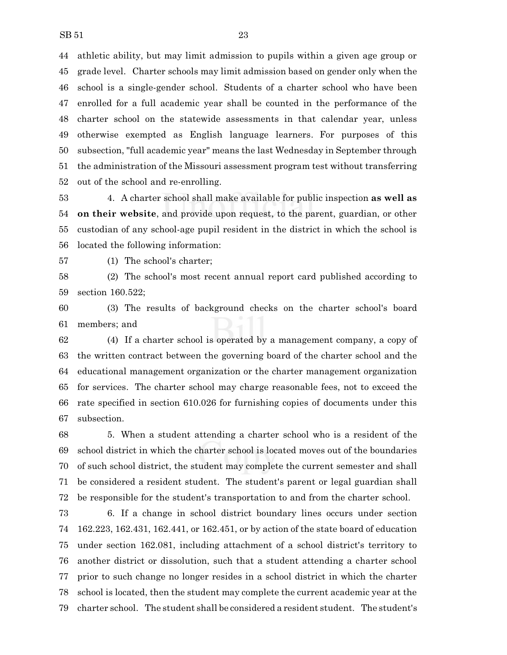athletic ability, but may limit admission to pupils within a given age group or grade level. Charter schools may limit admission based on gender only when the school is a single-gender school. Students of a charter school who have been enrolled for a full academic year shall be counted in the performance of the charter school on the statewide assessments in that calendar year, unless otherwise exempted as English language learners. For purposes of this subsection, "full academic year" means the last Wednesday in September through the administration of the Missouri assessment program test without transferring out of the school and re-enrolling.

 4. A charter school shall make available for public inspection **as well as on their website**, and provide upon request, to the parent, guardian, or other custodian of any school-age pupil resident in the district in which the school is located the following information:

(1) The school's charter;

 (2) The school's most recent annual report card published according to section 160.522;

 (3) The results of background checks on the charter school's board members; and

 (4) If a charter school is operated by a management company, a copy of the written contract between the governing board of the charter school and the educational management organization or the charter management organization for services. The charter school may charge reasonable fees, not to exceed the rate specified in section 610.026 for furnishing copies of documents under this subsection.

 5. When a student attending a charter school who is a resident of the school district in which the charter school is located moves out of the boundaries of such school district, the student may complete the current semester and shall be considered a resident student. The student's parent or legal guardian shall be responsible for the student's transportation to and from the charter school.

 6. If a change in school district boundary lines occurs under section 162.223, 162.431, 162.441, or 162.451, or by action of the state board of education under section 162.081, including attachment of a school district's territory to another district or dissolution, such that a student attending a charter school prior to such change no longer resides in a school district in which the charter school is located, then the student may complete the current academic year at the charter school. The student shall be considered a resident student. The student's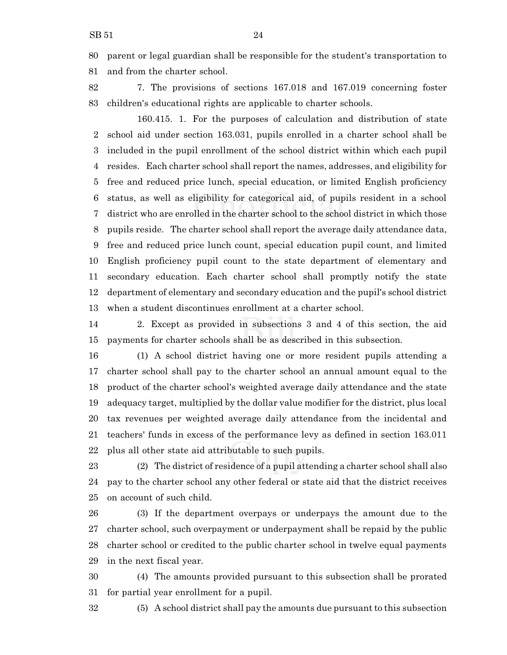parent or legal guardian shall be responsible for the student's transportation to and from the charter school.

 7. The provisions of sections 167.018 and 167.019 concerning foster children's educational rights are applicable to charter schools.

160.415. 1. For the purposes of calculation and distribution of state school aid under section 163.031, pupils enrolled in a charter school shall be included in the pupil enrollment of the school district within which each pupil resides. Each charter school shall report the names, addresses, and eligibility for free and reduced price lunch, special education, or limited English proficiency status, as well as eligibility for categorical aid, of pupils resident in a school district who are enrolled in the charter school to the school district in which those pupils reside. The charter school shall report the average daily attendance data, free and reduced price lunch count, special education pupil count, and limited English proficiency pupil count to the state department of elementary and secondary education. Each charter school shall promptly notify the state department of elementary and secondary education and the pupil's school district when a student discontinues enrollment at a charter school.

 2. Except as provided in subsections 3 and 4 of this section, the aid payments for charter schools shall be as described in this subsection.

 (1) A school district having one or more resident pupils attending a charter school shall pay to the charter school an annual amount equal to the product of the charter school's weighted average daily attendance and the state adequacy target, multiplied by the dollar value modifier for the district, plus local tax revenues per weighted average daily attendance from the incidental and teachers' funds in excess of the performance levy as defined in section 163.011 plus all other state aid attributable to such pupils.

 (2) The district of residence of a pupil attending a charter school shall also pay to the charter school any other federal or state aid that the district receives on account of such child.

 (3) If the department overpays or underpays the amount due to the charter school, such overpayment or underpayment shall be repaid by the public charter school or credited to the public charter school in twelve equal payments in the next fiscal year.

 (4) The amounts provided pursuant to this subsection shall be prorated for partial year enrollment for a pupil.

(5) A school district shall pay the amounts due pursuant to this subsection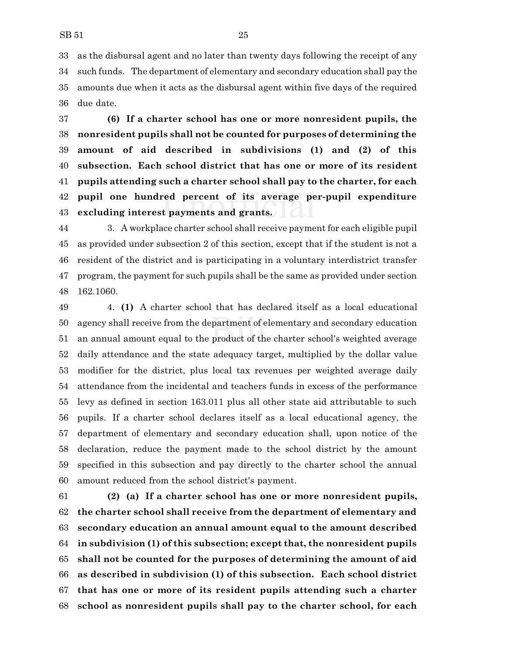as the disbursal agent and no later than twenty days following the receipt of any such funds. The department of elementary and secondary education shall pay the amounts due when it acts as the disbursal agent within five days of the required due date.

 **(6) If a charter school has one or more nonresident pupils, the nonresident pupils shall not be counted for purposes of determining the amount of aid described in subdivisions (1) and (2) of this subsection. Each school district that has one or more of its resident pupils attending such a charter school shall pay to the charter, for each pupil one hundred percent of its average per-pupil expenditure excluding interest payments and grants.**

 3. A workplace charter school shall receive payment for each eligible pupil as provided under subsection 2 of this section, except that if the student is not a resident of the district and is participating in a voluntary interdistrict transfer program, the payment for such pupils shall be the same as provided under section 162.1060.

 4. **(1)** A charter school that has declared itself as a local educational agency shall receive from the department of elementary and secondary education an annual amount equal to the product of the charter school's weighted average daily attendance and the state adequacy target, multiplied by the dollar value modifier for the district, plus local tax revenues per weighted average daily attendance from the incidental and teachers funds in excess of the performance levy as defined in section 163.011 plus all other state aid attributable to such pupils. If a charter school declares itself as a local educational agency, the department of elementary and secondary education shall, upon notice of the declaration, reduce the payment made to the school district by the amount specified in this subsection and pay directly to the charter school the annual amount reduced from the school district's payment.

 **(2) (a) If a charter school has one or more nonresident pupils, the charter school shall receive from the department of elementary and secondary education an annual amount equal to the amount described in subdivision (1) of this subsection; except that, the nonresident pupils shall not be counted for the purposes of determining the amount of aid as described in subdivision (1) of this subsection. Each school district that has one or more of its resident pupils attending such a charter school as nonresident pupils shall pay to the charter school, for each**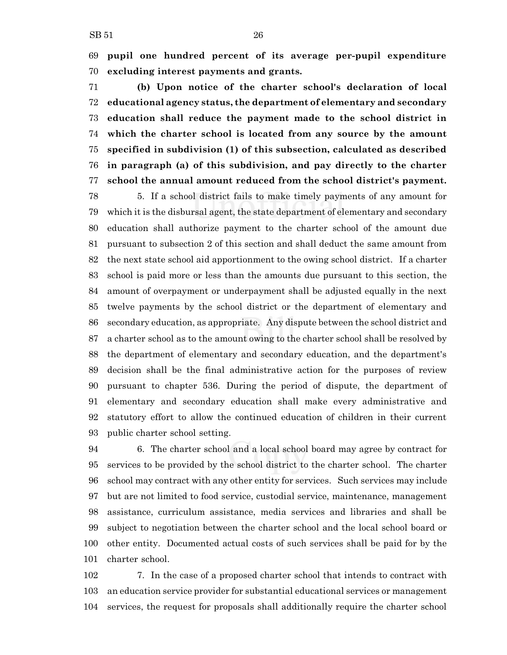**pupil one hundred percent of its average per-pupil expenditure excluding interest payments and grants.**

 **(b) Upon notice of the charter school's declaration of local educational agency status, the department of elementary and secondary education shall reduce the payment made to the school district in which the charter school is located from any source by the amount specified in subdivision (1) of this subsection, calculated as described in paragraph (a) of this subdivision, and pay directly to the charter school the annual amount reduced from the school district's payment.**

 5. If a school district fails to make timely payments of any amount for which it is the disbursal agent, the state department of elementary and secondary education shall authorize payment to the charter school of the amount due pursuant to subsection 2 of this section and shall deduct the same amount from the next state school aid apportionment to the owing school district. If a charter school is paid more or less than the amounts due pursuant to this section, the amount of overpayment or underpayment shall be adjusted equally in the next twelve payments by the school district or the department of elementary and secondary education, as appropriate. Any dispute between the school district and a charter school as to the amount owing to the charter school shall be resolved by the department of elementary and secondary education, and the department's decision shall be the final administrative action for the purposes of review pursuant to chapter 536. During the period of dispute, the department of elementary and secondary education shall make every administrative and statutory effort to allow the continued education of children in their current public charter school setting.

 6. The charter school and a local school board may agree by contract for services to be provided by the school district to the charter school. The charter school may contract with any other entity for services. Such services may include but are not limited to food service, custodial service, maintenance, management assistance, curriculum assistance, media services and libraries and shall be subject to negotiation between the charter school and the local school board or other entity. Documented actual costs of such services shall be paid for by the charter school.

 7. In the case of a proposed charter school that intends to contract with an education service provider for substantial educational services or management services, the request for proposals shall additionally require the charter school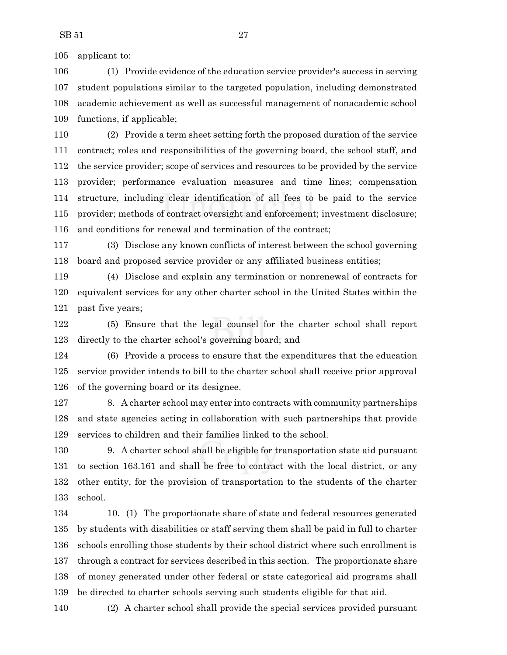applicant to:

 (1) Provide evidence of the education service provider's success in serving student populations similar to the targeted population, including demonstrated academic achievement as well as successful management of nonacademic school functions, if applicable;

 (2) Provide a term sheet setting forth the proposed duration of the service contract; roles and responsibilities of the governing board, the school staff, and the service provider; scope of services and resources to be provided by the service provider; performance evaluation measures and time lines; compensation structure, including clear identification of all fees to be paid to the service provider; methods of contract oversight and enforcement; investment disclosure; and conditions for renewal and termination of the contract;

 (3) Disclose any known conflicts of interest between the school governing board and proposed service provider or any affiliated business entities;

 (4) Disclose and explain any termination or nonrenewal of contracts for equivalent services for any other charter school in the United States within the past five years;

 (5) Ensure that the legal counsel for the charter school shall report directly to the charter school's governing board; and

 (6) Provide a process to ensure that the expenditures that the education service provider intends to bill to the charter school shall receive prior approval of the governing board or its designee.

 8. A charter school may enter into contracts with community partnerships and state agencies acting in collaboration with such partnerships that provide services to children and their families linked to the school.

 9. A charter school shall be eligible for transportation state aid pursuant to section 163.161 and shall be free to contract with the local district, or any other entity, for the provision of transportation to the students of the charter school.

 10. (1) The proportionate share of state and federal resources generated by students with disabilities or staff serving them shall be paid in full to charter schools enrolling those students by their school district where such enrollment is through a contract for services described in this section. The proportionate share of money generated under other federal or state categorical aid programs shall be directed to charter schools serving such students eligible for that aid.

(2) A charter school shall provide the special services provided pursuant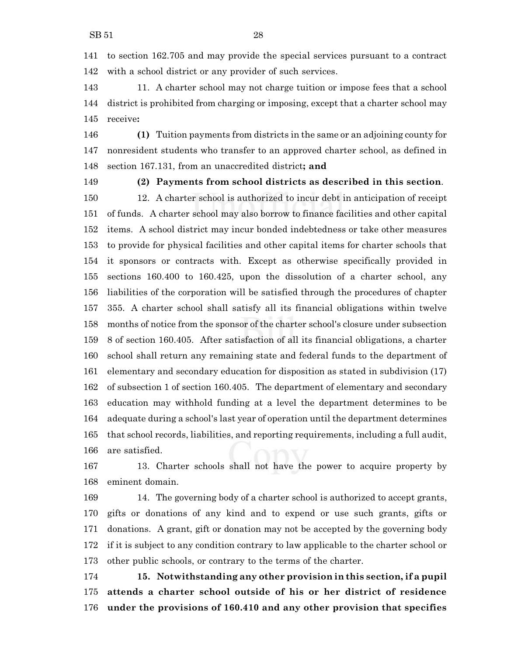to section 162.705 and may provide the special services pursuant to a contract with a school district or any provider of such services.

 11. A charter school may not charge tuition or impose fees that a school district is prohibited from charging or imposing, except that a charter school may receive**:**

 **(1)** Tuition payments from districts in the same or an adjoining county for nonresident students who transfer to an approved charter school, as defined in section 167.131, from an unaccredited district**; and**

**(2) Payments from school districts as described in this section**.

 12. A charter school is authorized to incur debt in anticipation of receipt of funds. A charter school may also borrow to finance facilities and other capital items. A school district may incur bonded indebtedness or take other measures to provide for physical facilities and other capital items for charter schools that it sponsors or contracts with. Except as otherwise specifically provided in sections 160.400 to 160.425, upon the dissolution of a charter school, any liabilities of the corporation will be satisfied through the procedures of chapter 355. A charter school shall satisfy all its financial obligations within twelve months of notice from the sponsor of the charter school's closure under subsection 8 of section 160.405. After satisfaction of all its financial obligations, a charter school shall return any remaining state and federal funds to the department of elementary and secondary education for disposition as stated in subdivision (17) of subsection 1 of section 160.405. The department of elementary and secondary education may withhold funding at a level the department determines to be adequate during a school's last year of operation until the department determines that school records, liabilities, and reporting requirements, including a full audit, are satisfied.

 13. Charter schools shall not have the power to acquire property by eminent domain.

 14. The governing body of a charter school is authorized to accept grants, gifts or donations of any kind and to expend or use such grants, gifts or donations. A grant, gift or donation may not be accepted by the governing body if it is subject to any condition contrary to law applicable to the charter school or other public schools, or contrary to the terms of the charter.

 **15. Notwithstanding any other provision in this section, if a pupil attends a charter school outside of his or her district of residence under the provisions of 160.410 and any other provision that specifies**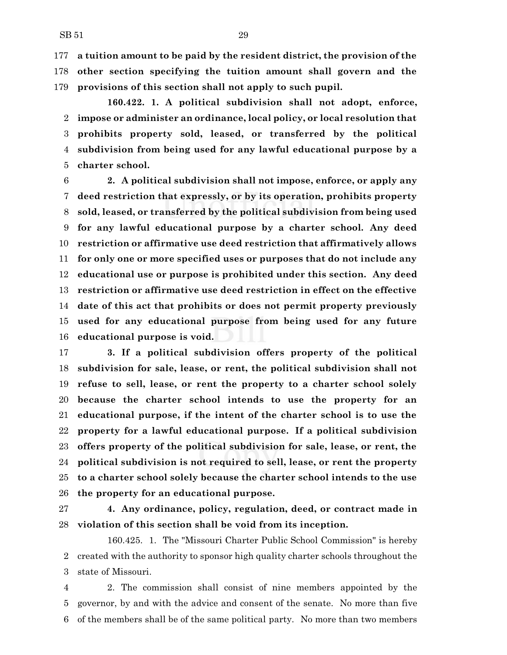**a tuition amount to be paid by the resident district, the provision of the other section specifying the tuition amount shall govern and the provisions of this section shall not apply to such pupil.**

**160.422. 1. A political subdivision shall not adopt, enforce, impose or administer an ordinance, local policy, or local resolution that prohibits property sold, leased, or transferred by the political subdivision from being used for any lawful educational purpose by a charter school.**

 **2. A political subdivision shall not impose, enforce, or apply any deed restriction that expressly, or by its operation, prohibits property sold, leased, or transferred by the political subdivision from being used for any lawful educational purpose by a charter school. Any deed restriction or affirmative use deed restriction that affirmatively allows for only one or more specified uses or purposes that do not include any educational use or purpose is prohibited under this section. Any deed restriction or affirmative use deed restriction in effect on the effective date of this act that prohibits or does not permit property previously used for any educational purpose from being used for any future educational purpose is void.**

 **3. If a political subdivision offers property of the political subdivision for sale, lease, or rent, the political subdivision shall not refuse to sell, lease, or rent the property to a charter school solely because the charter school intends to use the property for an educational purpose, if the intent of the charter school is to use the property for a lawful educational purpose. If a political subdivision offers property of the political subdivision for sale, lease, or rent, the political subdivision is not required to sell, lease, or rent the property to a charter school solely because the charter school intends to the use the property for an educational purpose.**

**4. Any ordinance, policy, regulation, deed, or contract made in**

**violation of this section shall be void from its inception.**

160.425. 1. The "Missouri Charter Public School Commission" is hereby created with the authority to sponsor high quality charter schools throughout the state of Missouri.

 2. The commission shall consist of nine members appointed by the governor, by and with the advice and consent of the senate. No more than five of the members shall be of the same political party. No more than two members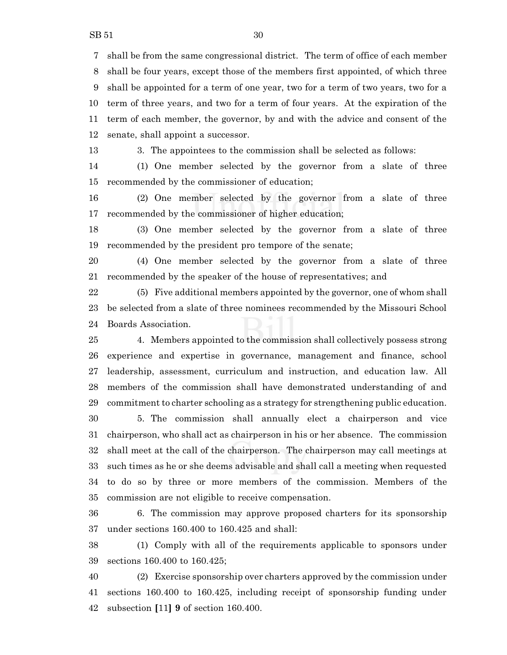shall be from the same congressional district. The term of office of each member shall be four years, except those of the members first appointed, of which three shall be appointed for a term of one year, two for a term of two years, two for a term of three years, and two for a term of four years. At the expiration of the term of each member, the governor, by and with the advice and consent of the senate, shall appoint a successor.

3. The appointees to the commission shall be selected as follows:

 (1) One member selected by the governor from a slate of three recommended by the commissioner of education;

 (2) One member selected by the governor from a slate of three recommended by the commissioner of higher education;

 (3) One member selected by the governor from a slate of three recommended by the president pro tempore of the senate;

 (4) One member selected by the governor from a slate of three recommended by the speaker of the house of representatives; and

 (5) Five additional members appointed by the governor, one of whom shall be selected from a slate of three nominees recommended by the Missouri School Boards Association.

 4. Members appointed to the commission shall collectively possess strong experience and expertise in governance, management and finance, school leadership, assessment, curriculum and instruction, and education law. All members of the commission shall have demonstrated understanding of and commitment to charter schooling as a strategy for strengthening public education.

 5. The commission shall annually elect a chairperson and vice chairperson, who shall act as chairperson in his or her absence. The commission shall meet at the call of the chairperson. The chairperson may call meetings at such times as he or she deems advisable and shall call a meeting when requested to do so by three or more members of the commission. Members of the commission are not eligible to receive compensation.

 6. The commission may approve proposed charters for its sponsorship under sections 160.400 to 160.425 and shall:

 (1) Comply with all of the requirements applicable to sponsors under sections 160.400 to 160.425;

 (2) Exercise sponsorship over charters approved by the commission under sections 160.400 to 160.425, including receipt of sponsorship funding under subsection **[**11**] 9** of section 160.400.